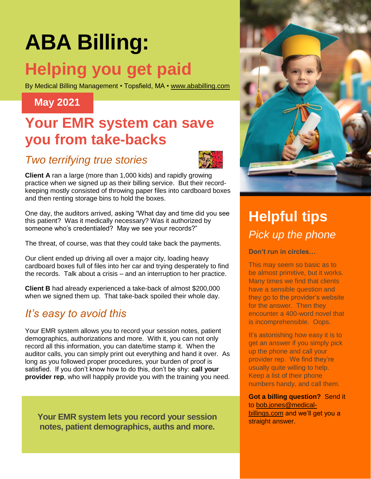# **ABA Billing:**

# **Helping you get paid**

By Medical Billing Management • Topsfield, MA • [www.ababilling.com](http://www.ababilling.com/)

#### **May 2021**

## **Your EMR system can save you from take-backs**

#### *Two terrifying true stories*



**Client A** ran a large (more than 1,000 kids) and rapidly growing practice when we signed up as their billing service. But their recordkeeping mostly consisted of throwing paper files into cardboard boxes and then renting storage bins to hold the boxes.

One day, the auditors arrived, asking "What day and time did you see this patient? Was it medically necessary? Was it authorized by someone who's credentialed? May we see your records?"

The threat, of course, was that they could take back the payments.

Our client ended up driving all over a major city, loading heavy cardboard boxes full of files into her car and trying desperately to find the records. Talk about a crisis – and an interruption to her practice.

**Client B** had already experienced a take-back of almost \$200,000 when we signed them up. That take-back spoiled their whole day.

#### *It's easy to avoid this*

Your EMR system allows you to record your session notes, patient demographics, authorizations and more. With it, you can not only record all this information, you can date/time stamp it. When the auditor calls, you can simply print out everything and hand it over. As long as you followed proper procedures, your burden of proof is satisfied. If you don't know how to do this, don't be shy: **call your provider rep**, who will happily provide you with the training you need.

Your EMR system lets you record your session **build be straight answer. notes, patient demographics, auths and more.** 



# **Helpful tips** *Pick up the phone*

**Don't run in circles…**

This may seem so basic as to be almost primitive, but it works. Many times we find that clients have a sensible question and they go to the provider's website for the answer. Then they encounter a 400-word novel that is incomprehensible. Oops.

It's astonishing how easy it is to aet an answer if you simply pick up the phone and call your provider rep. We find they're usually quite willing to help. Keep a list of their phone numbers handy, and call them.

**Got a billing question?** Send it to [bob.jones@medical](mailto:bob.jones@medical-billings.com)[billings.com](mailto:bob.jones@medical-billings.com) and we'll get you a